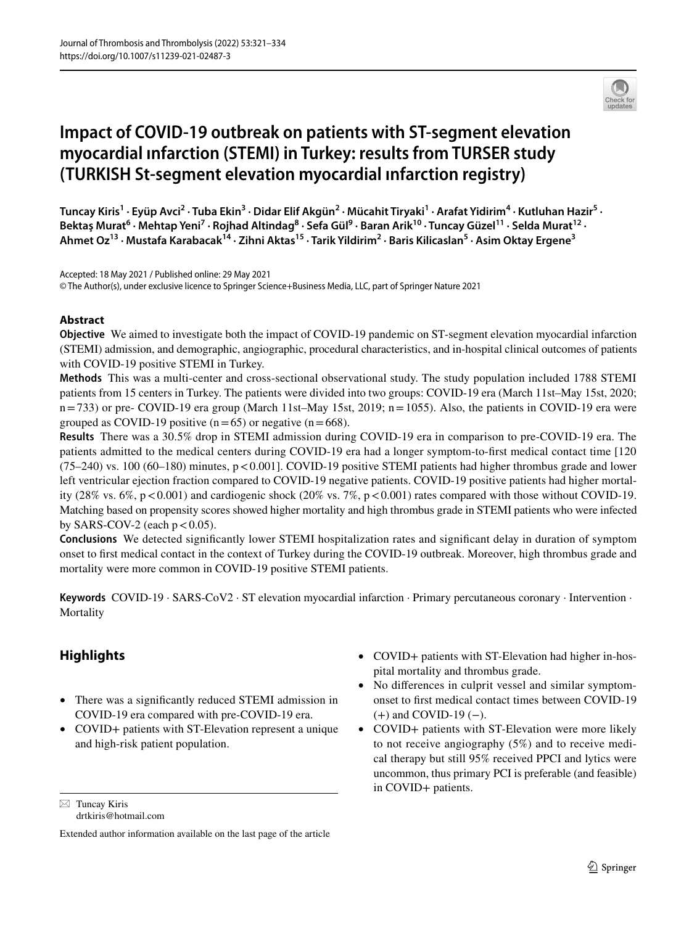

# **Impact of COVID‑19 outbreak on patients with ST‑segment elevation myocardial ınfarction (STEMI) in Turkey: results from TURSER study (TURKISH St‑segment elevation myocardial ınfarction registry)**

Tuncay Kiris<sup>1</sup> · Eyüp Avci<sup>2</sup> · Tuba Ekin<sup>3</sup> · Didar Elif Akgün<sup>2</sup> · Mücahit Tiryaki<sup>1</sup> · Arafat Yidirim<sup>4</sup> · Kutluhan Hazir<sup>5</sup> · Bektaş Murat<sup>6</sup> • Mehtap Yeni<sup>7</sup> • Rojhad Altindag<sup>8</sup> • Sefa Gül<sup>9</sup> • Baran Arik<sup>10</sup> • Tuncay Güzel<sup>11</sup> • Selda Murat<sup>12</sup> • **Ahmet Oz13 · Mustafa Karabacak14 · Zihni Aktas15 · Tarik Yildirim2 · Baris Kilicaslan5 · Asim Oktay Ergene3**

Accepted: 18 May 2021 / Published online: 29 May 2021 © The Author(s), under exclusive licence to Springer Science+Business Media, LLC, part of Springer Nature 2021

## **Abstract**

**Objective** We aimed to investigate both the impact of COVID-19 pandemic on ST-segment elevation myocardial infarction (STEMI) admission, and demographic, angiographic, procedural characteristics, and in-hospital clinical outcomes of patients with COVID-19 positive STEMI in Turkey.

**Methods** This was a multi-center and cross-sectional observational study. The study population included 1788 STEMI patients from 15 centers in Turkey. The patients were divided into two groups: COVID-19 era (March 11st–May 15st, 2020; n=733) or pre- COVID-19 era group (March 11st–May 15st, 2019; n=1055). Also, the patients in COVID-19 era were grouped as COVID-19 positive  $(n=65)$  or negative  $(n=668)$ .

**Results** There was a 30.5% drop in STEMI admission during COVID-19 era in comparison to pre-COVID-19 era. The patients admitted to the medical centers during COVID-19 era had a longer symptom-to-frst medical contact time [120 (75–240) vs. 100 (60–180) minutes, p<0.001]. COVID-19 positive STEMI patients had higher thrombus grade and lower left ventricular ejection fraction compared to COVID-19 negative patients. COVID-19 positive patients had higher mortality (28% vs.  $6\%$ , p < 0.001) and cardiogenic shock (20% vs. 7%, p < 0.001) rates compared with those without COVID-19. Matching based on propensity scores showed higher mortality and high thrombus grade in STEMI patients who were infected by SARS-COV-2 (each  $p < 0.05$ ).

**Conclusions** We detected signifcantly lower STEMI hospitalization rates and signifcant delay in duration of symptom onset to frst medical contact in the context of Turkey during the COVID-19 outbreak. Moreover, high thrombus grade and mortality were more common in COVID-19 positive STEMI patients.

**Keywords** COVID-19 · SARS-CoV2 · ST elevation myocardial infarction · Primary percutaneous coronary · Intervention · Mortality

# **Highlights**

- There was a signifcantly reduced STEMI admission in COVID-19 era compared with pre-COVID-19 era.
- COVID+ patients with ST-Elevation represent a unique and high-risk patient population.

 $\boxtimes$  Tuncay Kiris drtkiris@hotmail.com

- COVID+ patients with ST-Elevation had higher in-hospital mortality and thrombus grade.
- No differences in culprit vessel and similar symptomonset to frst medical contact times between COVID-19  $(+)$  and COVID-19 $(-)$ .
- COVID+ patients with ST-Elevation were more likely to not receive angiography (5%) and to receive medical therapy but still 95% received PPCI and lytics were uncommon, thus primary PCI is preferable (and feasible) in COVID+ patients.

Extended author information available on the last page of the article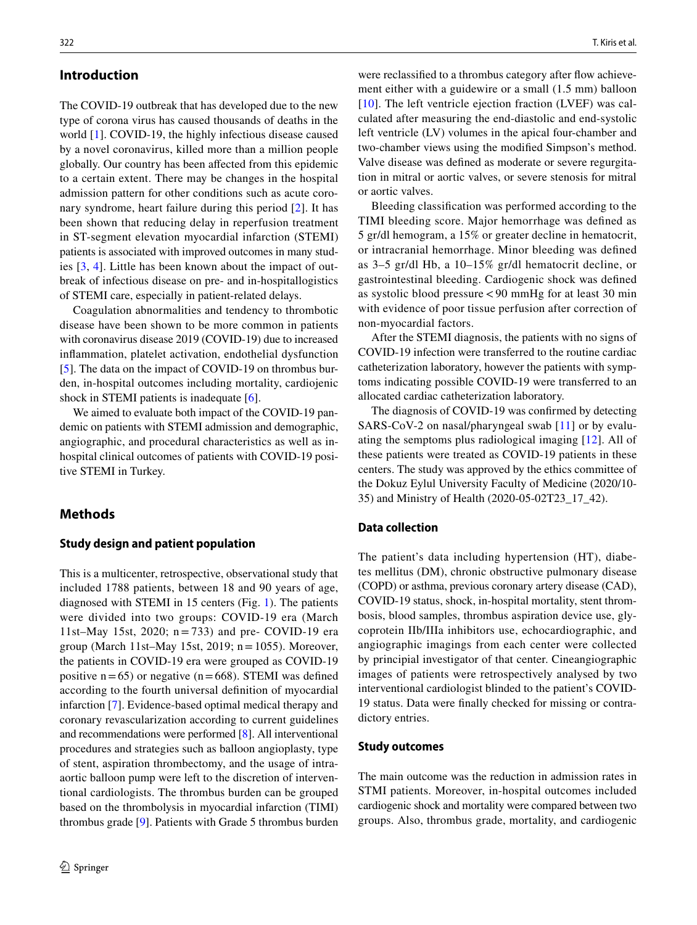### **Introduction**

The COVID-19 outbreak that has developed due to the new type of corona virus has caused thousands of deaths in the world [\[1](#page-12-0)]. COVID-19, the highly infectious disease caused by a novel coronavirus, killed more than a million people globally. Our country has been afected from this epidemic to a certain extent. There may be changes in the hospital admission pattern for other conditions such as acute coronary syndrome, heart failure during this period [\[2](#page-12-1)]. It has been shown that reducing delay in reperfusion treatment in ST-segment elevation myocardial infarction (STEMI) patients is associated with improved outcomes in many studies [[3](#page-12-2), [4\]](#page-12-3). Little has been known about the impact of outbreak of infectious disease on pre- and in-hospitallogistics of STEMI care, especially in patient-related delays.

Coagulation abnormalities and tendency to thrombotic disease have been shown to be more common in patients with coronavirus disease 2019 (COVID-19) due to increased infammation, platelet activation, endothelial dysfunction [\[5](#page-12-4)]. The data on the impact of COVID-19 on thrombus burden, in-hospital outcomes including mortality, cardiojenic shock in STEMI patients is inadequate [\[6](#page-12-5)].

We aimed to evaluate both impact of the COVID-19 pandemic on patients with STEMI admission and demographic, angiographic, and procedural characteristics as well as inhospital clinical outcomes of patients with COVID-19 positive STEMI in Turkey.

### **Methods**

#### **Study design and patient population**

This is a multicenter, retrospective, observational study that included 1788 patients, between 18 and 90 years of age, diagnosed with STEMI in 15 centers (Fig. [1\)](#page-2-0). The patients were divided into two groups: COVID-19 era (March 11st–May 15st, 2020;  $n = 733$ ) and pre- COVID-19 era group (March 11st–May 15st, 2019;  $n = 1055$ ). Moreover, the patients in COVID-19 era were grouped as COVID-19 positive  $n=65$ ) or negative ( $n=668$ ). STEMI was defined according to the fourth universal defnition of myocardial infarction [[7\]](#page-12-6). Evidence-based optimal medical therapy and coronary revascularization according to current guidelines and recommendations were performed [\[8](#page-12-7)]. All interventional procedures and strategies such as balloon angioplasty, type of stent, aspiration thrombectomy, and the usage of intraaortic balloon pump were left to the discretion of interventional cardiologists. The thrombus burden can be grouped based on the thrombolysis in myocardial infarction (TIMI) thrombus grade [\[9](#page-12-8)]. Patients with Grade 5 thrombus burden

were reclassified to a thrombus category after flow achievement either with a guidewire or a small (1.5 mm) balloon  $[10]$  $[10]$ . The left ventricle ejection fraction (LVEF) was calculated after measuring the end-diastolic and end-systolic left ventricle (LV) volumes in the apical four-chamber and two-chamber views using the modifed Simpson's method. Valve disease was defned as moderate or severe regurgitation in mitral or aortic valves, or severe stenosis for mitral or aortic valves.

Bleeding classifcation was performed according to the TIMI bleeding score. Major hemorrhage was defned as 5 gr/dl hemogram, a 15% or greater decline in hematocrit, or intracranial hemorrhage. Minor bleeding was defned as 3–5 gr/dl Hb, a 10–15% gr/dl hematocrit decline, or gastrointestinal bleeding. Cardiogenic shock was defned as systolic blood pressure<90 mmHg for at least 30 min with evidence of poor tissue perfusion after correction of non-myocardial factors.

After the STEMI diagnosis, the patients with no signs of COVID-19 infection were transferred to the routine cardiac catheterization laboratory, however the patients with symptoms indicating possible COVID-19 were transferred to an allocated cardiac catheterization laboratory.

The diagnosis of COVID-19 was confrmed by detecting SARS-CoV-2 on nasal/pharyngeal swab [[11](#page-12-10)] or by evaluating the semptoms plus radiological imaging [[12\]](#page-12-11). All of these patients were treated as COVID-19 patients in these centers. The study was approved by the ethics committee of the Dokuz Eylul University Faculty of Medicine (2020/10- 35) and Ministry of Health (2020-05-02T23\_17\_42).

#### **Data collection**

The patient's data including hypertension (HT), diabetes mellitus (DM), chronic obstructive pulmonary disease (COPD) or asthma, previous coronary artery disease (CAD), COVID-19 status, shock, in-hospital mortality, stent thrombosis, blood samples, thrombus aspiration device use, glycoprotein IIb/IIIa inhibitors use, echocardiographic, and angiographic imagings from each center were collected by principial investigator of that center. Cineangiographic images of patients were retrospectively analysed by two interventional cardiologist blinded to the patient's COVID-19 status. Data were fnally checked for missing or contradictory entries.

#### **Study outcomes**

The main outcome was the reduction in admission rates in STMI patients. Moreover, in-hospital outcomes included cardiogenic shock and mortality were compared between two groups. Also, thrombus grade, mortality, and cardiogenic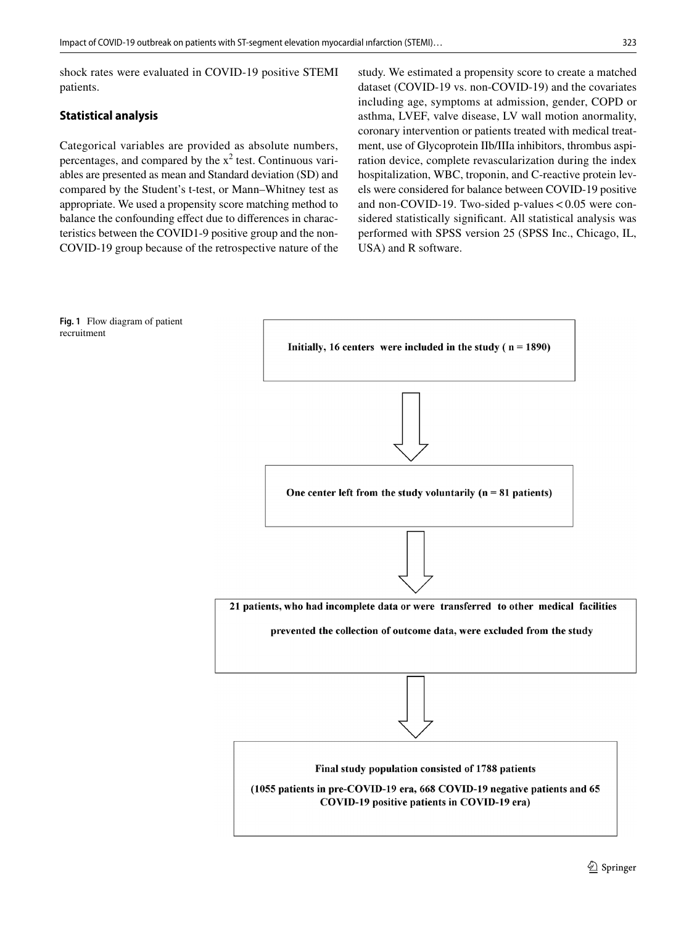shock rates were evaluated in COVID-19 positive STEMI patients.

## **Statistical analysis**

Categorical variables are provided as absolute numbers, percentages, and compared by the  $x^2$  test. Continuous variables are presented as mean and Standard deviation (SD) and compared by the Student's t-test, or Mann–Whitney test as appropriate. We used a propensity score matching method to balance the confounding efect due to diferences in characteristics between the COVID1-9 positive group and the non-COVID-19 group because of the retrospective nature of the study. We estimated a propensity score to create a matched dataset (COVID-19 vs. non-COVID-19) and the covariates including age, symptoms at admission, gender, COPD or asthma, LVEF, valve disease, LV wall motion anormality, coronary intervention or patients treated with medical treatment, use of Glycoprotein IIb/IIIa inhibitors, thrombus aspiration device, complete revascularization during the index hospitalization, WBC, troponin, and C-reactive protein levels were considered for balance between COVID-19 positive and non-COVID-19. Two-sided p-values  $< 0.05$  were considered statistically signifcant. All statistical analysis was performed with SPSS version 25 (SPSS Inc., Chicago, IL, USA) and R software.

<span id="page-2-0"></span>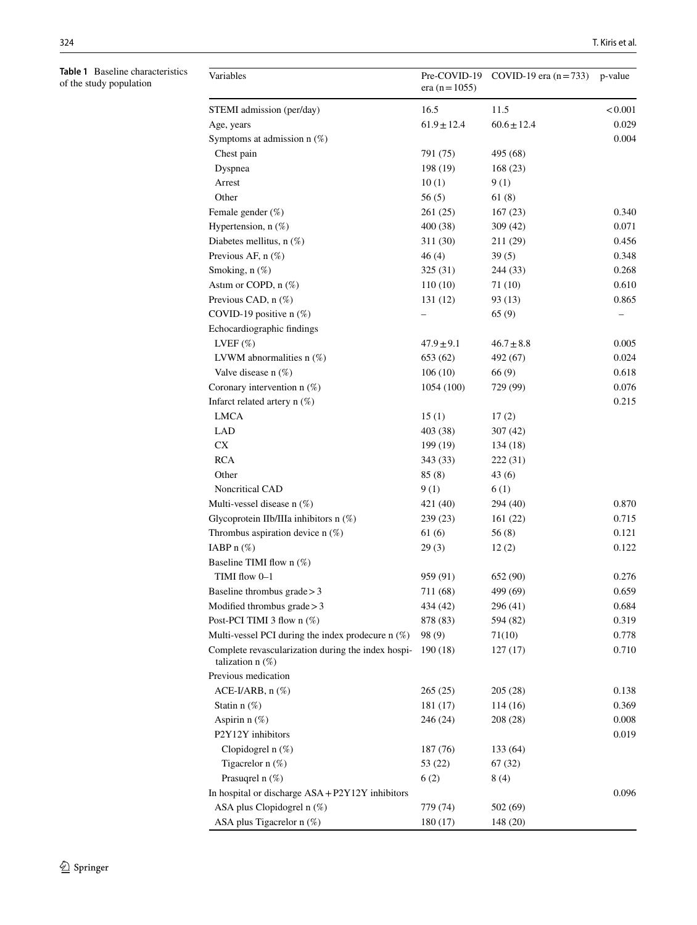<span id="page-3-0"></span>**Table 1** Baseline characteristics of the study population

| Variables                                                                   | Pre-COVID-19<br>era (n = $1055$ ) | COVID-19 era $(n=733)$ | p-value |
|-----------------------------------------------------------------------------|-----------------------------------|------------------------|---------|
| STEMI admission (per/day)                                                   | 16.5                              | 11.5                   | < 0.001 |
| Age, years                                                                  | $61.9 \pm 12.4$                   | $60.6 \pm 12.4$        | 0.029   |
| Symptoms at admission $n$ (%)                                               |                                   |                        | 0.004   |
| Chest pain                                                                  | 791 (75)                          | 495 (68)               |         |
| Dyspnea                                                                     | 198 (19)                          | 168 (23)               |         |
| Arrest                                                                      | 10(1)                             | 9(1)                   |         |
| Other                                                                       | 56(5)                             | 61(8)                  |         |
| Female gender (%)                                                           | 261(25)                           | 167(23)                | 0.340   |
| Hypertension, $n$ (%)                                                       | 400 (38)                          | 309(42)                | 0.071   |
| Diabetes mellitus, n (%)                                                    | 311 (30)                          | 211 (29)               | 0.456   |
| Previous AF, $n$ $(\%)$                                                     | 46(4)                             | 39(5)                  | 0.348   |
| Smoking, n (%)                                                              | 325 (31)                          | 244 (33)               | 0.268   |
| Astim or COPD, n (%)                                                        | 110(10)                           | 71 (10)                | 0.610   |
| Previous CAD, n (%)                                                         | 131 (12)                          | 93 (13)                | 0.865   |
| COVID-19 positive n (%)                                                     |                                   | 65 (9)                 |         |
| Echocardiographic findings                                                  |                                   |                        |         |
| LVEF $(\%)$                                                                 | $47.9 \pm 9.1$                    | $46.7 \pm 8.8$         | 0.005   |
| LVWM abnormalities $n$ (%)                                                  | 653 (62)                          | 492 (67)               | 0.024   |
| Valve disease $n$ $(\%)$                                                    | 106(10)                           | 66(9)                  | 0.618   |
| Coronary intervention $n$ (%)                                               | 1054 (100)                        | 729 (99)               | 0.076   |
| Infarct related artery $n$ (%)                                              |                                   |                        | 0.215   |
| <b>LMCA</b>                                                                 | 15(1)                             | 17(2)                  |         |
| LAD                                                                         | 403 (38)                          | 307(42)                |         |
| <b>CX</b>                                                                   | 199 (19)                          | 134 (18)               |         |
| <b>RCA</b>                                                                  | 343 (33)                          | 222 (31)               |         |
| Other                                                                       | 85(8)                             | 43 (6)                 |         |
| Noncritical CAD                                                             | 9(1)                              | 6(1)                   |         |
| Multi-vessel disease n (%)                                                  | 421 (40)                          | 294 (40)               | 0.870   |
| Glycoprotein IIb/IIIa inhibitors $n$ (%)                                    | 239 (23)                          | 161(22)                | 0.715   |
| Thrombus aspiration device $n$ (%)                                          | 61 (6)                            | 56(8)                  | 0.121   |
| IABP $n$ $(\%)$                                                             | 29(3)                             | 12(2)                  | 0.122   |
| Baseline TIMI flow n (%)                                                    |                                   |                        |         |
| TIMI flow 0-1                                                               | 959 (91)                          | 652 (90)               | 0.276   |
| Baseline thrombus grade > 3                                                 | 711 (68)                          | 499 (69)               | 0.659   |
| Modified thrombus $grade > 3$                                               | 434 (42)                          | 296 (41)               | 0.684   |
| Post-PCI TIMI 3 flow n (%)                                                  | 878 (83)                          | 594 (82)               | 0.319   |
| Multi-vessel PCI during the index prodecure $n$ $(\%)$                      | 98 (9)                            | 71(10)                 | 0.778   |
| Complete revascularization during the index hospi-<br>talization $n$ $(\%)$ | 190 (18)                          | 127(17)                | 0.710   |
| Previous medication                                                         |                                   |                        |         |
| $ACE-I/ARB$ , n $(\%)$                                                      | 265(25)                           | 205(28)                | 0.138   |
| Statin $n$ $(\%)$                                                           | 181 (17)                          | 114(16)                | 0.369   |
| Aspirin $n$ $(\%)$                                                          | 246 (24)                          | 208 (28)               | 0.008   |
| P2Y12Y inhibitors                                                           |                                   |                        | 0.019   |
| Clopidogrel n (%)                                                           | 187 (76)                          | 133 (64)               |         |
| Tigacrelor $n$ $(\%)$                                                       | 53 (22)                           | 67(32)                 |         |
| Prasuqrel n $(\%)$                                                          | 6(2)                              | 8(4)                   |         |
| In hospital or discharge ASA + P2Y12Y inhibitors                            |                                   |                        | 0.096   |
| ASA plus Clopidogrel n (%)                                                  | 779 (74)                          | 502 (69)               |         |
| ASA plus Tigacrelor n (%)                                                   | 180(17)                           | 148 (20)               |         |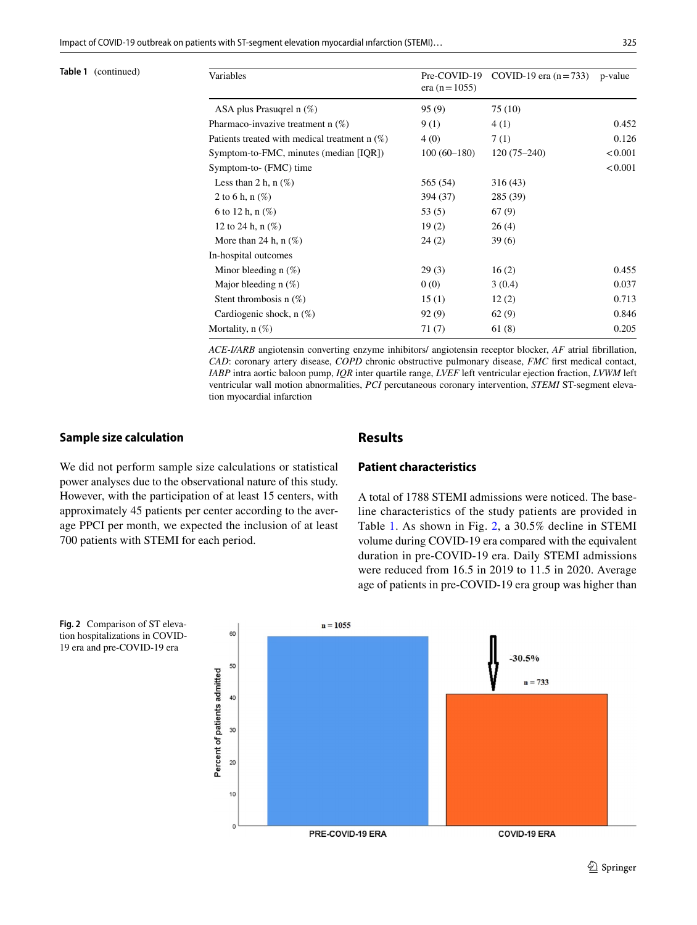Impact of COVID‑19 outbreak on patients with ST‑segment elevation myocardial ınfarction (STEMI)… 325

| Table 1 |  | (continued) |  |
|---------|--|-------------|--|
|---------|--|-------------|--|

| Table 1 (continued) | Variables                                       | Pre-COVID-19<br>era ( $n = 1055$ ) | COVID-19 era $(n=733)$ | p-value |
|---------------------|-------------------------------------------------|------------------------------------|------------------------|---------|
|                     | ASA plus Prasugrel n $(\%)$                     | 95(9)                              | 75(10)                 |         |
|                     | Pharmaco-invazive treatment $n$ (%)             | 9(1)                               | 4(1)                   | 0.452   |
|                     | Patients treated with medical treatment $n$ (%) | 4(0)                               | 7(1)                   | 0.126   |
|                     | Symptom-to-FMC, minutes (median [IQR])          | $100(60-180)$                      | $120(75-240)$          | < 0.001 |
|                     | Symptom-to- (FMC) time                          |                                    |                        | < 0.001 |
|                     | Less than 2 h, $n$ $(\%)$                       | 565 (54)                           | 316(43)                |         |
|                     | 2 to 6 h, $n$ (%)                               | 394 (37)                           | 285 (39)               |         |
|                     | 6 to 12 h, $n$ (%)                              | 53(5)                              | 67(9)                  |         |
|                     | 12 to 24 h, $n$ $(\%)$                          | 19(2)                              | 26(4)                  |         |
|                     | More than 24 h, $n$ $(\%)$                      | 24(2)                              | 39(6)                  |         |
|                     | In-hospital outcomes                            |                                    |                        |         |
|                     | Minor bleeding $n$ (%)                          | 29(3)                              | 16(2)                  | 0.455   |
|                     | Major bleeding $n$ (%)                          | 0(0)                               | 3(0.4)                 | 0.037   |
|                     | Stent thrombosis $n(\%)$                        | 15(1)                              | 12(2)                  | 0.713   |
|                     | Cardiogenic shock, $n(\%)$                      | 92(9)                              | 62(9)                  | 0.846   |
|                     | Mortality, $n(\%)$                              | 71(7)                              | 61(8)                  | 0.205   |

*ACE-I/ARB* angiotensin converting enzyme inhibitors/ angiotensin receptor blocker, *AF* atrial fbrillation, *CAD*: coronary artery disease, *COPD* chronic obstructive pulmonary disease, *FMC* frst medical contact, *IABP* intra aortic baloon pump, *IQR* inter quartile range, *LVEF* left ventricular ejection fraction, *LVWM* left ventricular wall motion abnormalities, *PCI* percutaneous coronary intervention, *STEMI* ST-segment elevation myocardial infarction

#### **Sample size calculation**

### **Results**

We did not perform sample size calculations or statistical power analyses due to the observational nature of this study. However, with the participation of at least 15 centers, with approximately 45 patients per center according to the average PPCI per month, we expected the inclusion of at least 700 patients with STEMI for each period.

# **Patient characteristics**

A total of 1788 STEMI admissions were noticed. The baseline characteristics of the study patients are provided in Table [1](#page-3-0). As shown in Fig. [2](#page-4-0), a 30.5% decline in STEMI volume during COVID-19 era compared with the equivalent duration in pre-COVID-19 era. Daily STEMI admissions were reduced from 16.5 in 2019 to 11.5 in 2020. Average age of patients in pre-COVID-19 era group was higher than



<span id="page-4-0"></span>**Fig. 2** Comparison of ST elevation hospitalizations in COVID-19 era and pre-COVID-19 era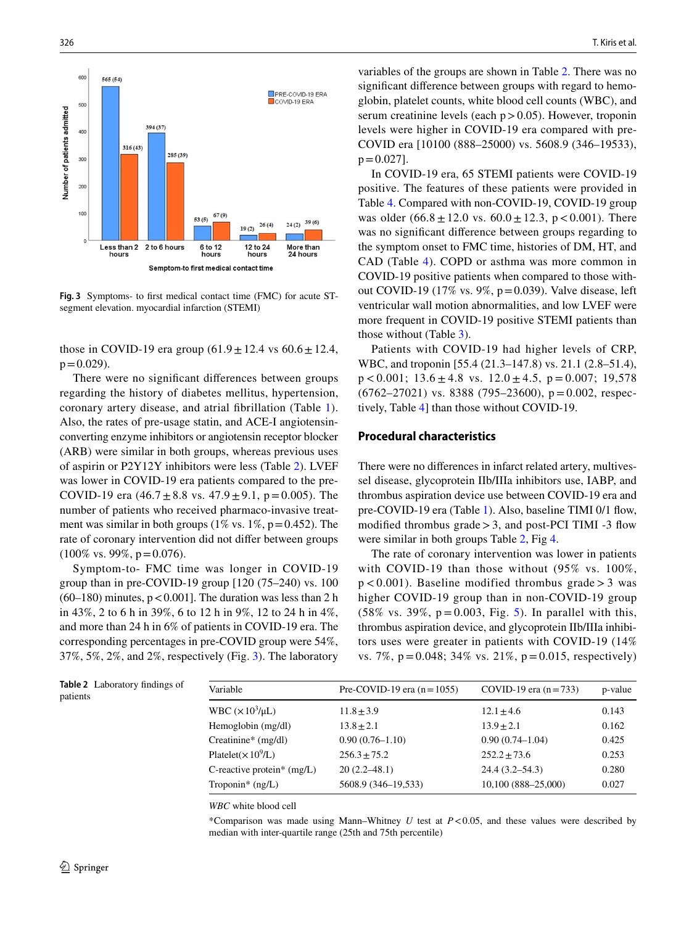

<span id="page-5-1"></span>**Fig. 3** Symptoms- to frst medical contact time (FMC) for acute STsegment elevation. myocardial infarction (STEMI)

those in COVID-19 era group  $(61.9 \pm 12.4 \text{ vs } 60.6 \pm 12.4,$  $p = 0.029$ ).

There were no signifcant diferences between groups regarding the history of diabetes mellitus, hypertension, coronary artery disease, and atrial fbrillation (Table [1](#page-3-0)). Also, the rates of pre-usage statin, and ACE-I angiotensinconverting enzyme inhibitors or angiotensin receptor blocker (ARB) were similar in both groups, whereas previous uses of aspirin or P2Y12Y inhibitors were less (Table [2](#page-5-0)). LVEF was lower in COVID-19 era patients compared to the pre-COVID-19 era  $(46.7 \pm 8.8 \text{ vs. } 47.9 \pm 9.1, \text{ p} = 0.005)$ . The number of patients who received pharmaco-invasive treatment was similar in both groups (1% vs.  $1\%$ , p=0.452). The rate of coronary intervention did not difer between groups  $(100\% \text{ vs. } 99\%, \text{ p} = 0.076).$ 

Symptom-to- FMC time was longer in COVID-19 group than in pre-COVID-19 group  $[120 (75-240)$  vs. 100  $(60-180)$  minutes,  $p < 0.001$ ]. The duration was less than 2 h in 43%, 2 to 6 h in 39%, 6 to 12 h in 9%, 12 to 24 h in 4%, and more than 24 h in 6% of patients in COVID-19 era. The corresponding percentages in pre-COVID group were 54%, 37%, 5%, 2%, and 2%, respectively (Fig. [3\)](#page-5-1). The laboratory

326 T. Kiris et al.

variables of the groups are shown in Table [2](#page-5-0). There was no signifcant diference between groups with regard to hemoglobin, platelet counts, white blood cell counts (WBC), and serum creatinine levels (each  $p > 0.05$ ). However, troponin levels were higher in COVID-19 era compared with pre-COVID era [10100 (888–25000) vs. 5608.9 (346–19533),  $p = 0.027$ ].

In COVID-19 era, 65 STEMI patients were COVID-19 positive. The features of these patients were provided in Table [4](#page-7-0). Compared with non-COVID-19, COVID-19 group was older  $(66.8 \pm 12.0 \text{ vs. } 60.0 \pm 12.3, \text{ p} < 0.001)$ . There was no signifcant diference between groups regarding to the symptom onset to FMC time, histories of DM, HT, and CAD (Table [4\)](#page-7-0). COPD or asthma was more common in COVID-19 positive patients when compared to those without COVID-19 (17% vs. 9%, p=0.039). Valve disease, left ventricular wall motion abnormalities, and low LVEF were more frequent in COVID-19 positive STEMI patients than those without (Table [3\)](#page-6-0).

Patients with COVID-19 had higher levels of CRP, WBC, and troponin [55.4 (21.3–147.8) vs. 21.1 (2.8–51.4),  $p < 0.001$ ; 13.6  $\pm$  4.8 vs. 12.0  $\pm$  4.5, p = 0.007; 19,578  $(6762-27021)$  vs. 8388 (795-23600),  $p = 0.002$ , respectively, Table [4](#page-7-0)] than those without COVID-19.

#### **Procedural characteristics**

There were no diferences in infarct related artery, multivessel disease, glycoprotein IIb/IIIa inhibitors use, IABP, and thrombus aspiration device use between COVID-19 era and pre-COVID-19 era (Table [1\)](#page-3-0). Also, baseline TIMI 0/1 flow, modified thrombus grade  $>$  3, and post-PCI TIMI -3 flow were similar in both groups Table [2](#page-5-0), Fig [4](#page-7-1).

The rate of coronary intervention was lower in patients with COVID-19 than those without (95% vs. 100%,  $p < 0.001$ ). Baseline modified thrombus grade > 3 was higher COVID-19 group than in non-COVID-19 group  $(58\% \text{ vs. } 39\%, \text{ p} = 0.003, \text{ Fig. 5}).$  In parallel with this, thrombus aspiration device, and glycoprotein IIb/IIIa inhibitors uses were greater in patients with COVID-19 (14% vs. 7%, p=0.048; 34% vs. 21%, p=0.015, respectively)

<span id="page-5-0"></span>

|          | Table 2 Laboratory findings of |
|----------|--------------------------------|
| patients |                                |

| Variable                       | Pre-COVID-19 era $(n=1055)$ | COVID-19 era $(n=733)$ | p-value |
|--------------------------------|-----------------------------|------------------------|---------|
| WBC $(\times 10^3/\mu L)$      | $11.8 \pm 3.9$              | $12.1 \pm 4.6$         | 0.143   |
| Hemoglobin (mg/dl)             | $13.8 \pm 2.1$              | $13.9 + 2.1$           | 0.162   |
| Creatinine* (mg/dl)            | $0.90(0.76 - 1.10)$         | $0.90(0.74 - 1.04)$    | 0.425   |
| Platelet( $\times 10^9$ /L)    | $256.3 + 75.2$              | $252.2 + 73.6$         | 0.253   |
| C-reactive protein* $(mg/L)$   | $20(2.2 - 48.1)$            | $24.4(3.2 - 54.3)$     | 0.280   |
| Troponin <sup>*</sup> $(ng/L)$ | 5608.9 (346-19,533)         | 10,100 (888-25,000)    | 0.027   |
|                                |                             |                        |         |

*WBC* white blood cell

\*Comparison was made using Mann–Whitney *U* test at *P*<0.05, and these values were described by median with inter-quartile range (25th and 75th percentile)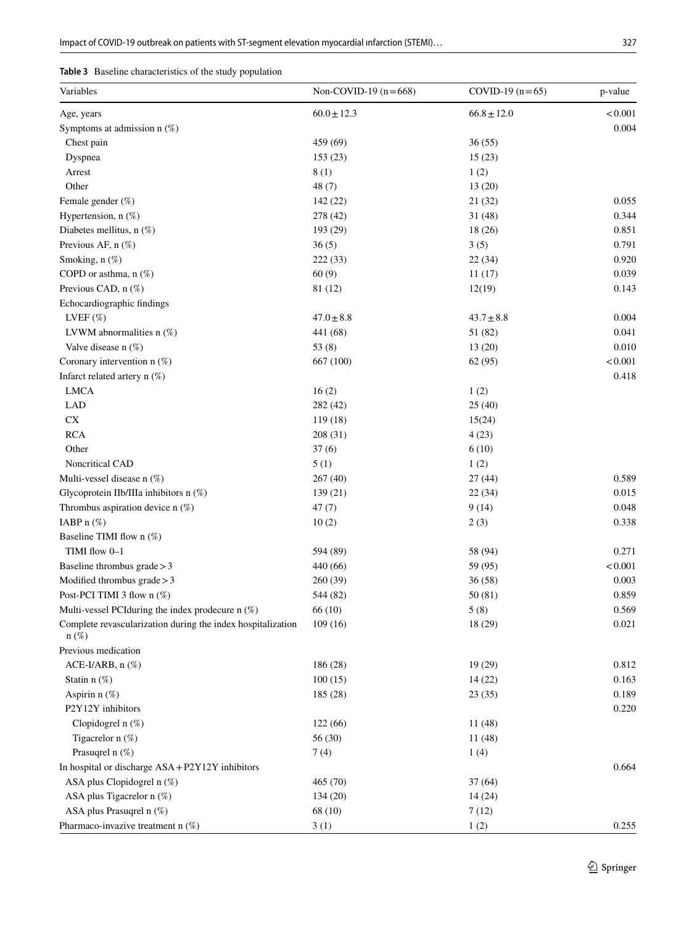<span id="page-6-0"></span>

| Table 3 Baseline characteristics of the study population |
|----------------------------------------------------------|
|----------------------------------------------------------|

| Variables                                                              | Non-COVID-19 $(n=668)$ | COVID-19 $(n=65)$ | p-value    |
|------------------------------------------------------------------------|------------------------|-------------------|------------|
| Age, years                                                             | $60.0 \pm 12.3$        | $66.8 \pm 12.0$   | < 0.001    |
| Symptoms at admission $n$ (%)                                          |                        |                   | 0.004      |
| Chest pain                                                             | 459 (69)               | 36(55)            |            |
| Dyspnea                                                                | 153(23)                | 15(23)            |            |
| Arrest                                                                 | 8(1)                   | 1(2)              |            |
| Other                                                                  | 48(7)                  | 13(20)            |            |
| Female gender (%)                                                      | 142 (22)               | 21(32)            | 0.055      |
| Hypertension, n (%)                                                    | 278 (42)               | 31(48)            | 0.344      |
| Diabetes mellitus, $n$ (%)                                             | 193 (29)               | 18 (26)           | 0.851      |
| Previous AF, n (%)                                                     | 36(5)                  | 3(5)              | 0.791      |
| Smoking, n (%)                                                         | 222 (33)               | 22(34)            | 0.920      |
| COPD or asthma, $n$ (%)                                                | 60(9)                  | 11(17)            | 0.039      |
| Previous CAD, n (%)                                                    | 81 (12)                | 12(19)            | 0.143      |
| Echocardiographic findings                                             |                        |                   |            |
| LVEF $(\%)$                                                            | $47.0 \pm 8.8$         | $43.7 \pm 8.8$    | 0.004      |
| LVWM abnormalities $n$ (%)                                             | 441 (68)               | 51 (82)           | 0.041      |
| Valve disease $n(\%)$                                                  | 53 $(8)$               | 13(20)            | 0.010      |
| Coronary intervention $n$ (%)                                          | 667 (100)              | 62(95)            | < 0.001    |
| Infarct related artery $n$ (%)                                         |                        |                   | 0.418      |
| <b>LMCA</b>                                                            | 16(2)                  | 1(2)              |            |
| LAD                                                                    | 282 (42)               | 25(40)            |            |
| ${\rm CX}$                                                             | 119(18)                | 15(24)            |            |
| <b>RCA</b>                                                             | 208 (31)               | 4(23)             |            |
| Other                                                                  | 37(6)                  | 6(10)             |            |
| Noncritical CAD                                                        | 5(1)                   | 1(2)              |            |
| Multi-vessel disease n (%)                                             | 267(40)                | 27(44)            | 0.589      |
| Glycoprotein IIb/IIIa inhibitors n (%)                                 | 139 (21)               | 22(34)            | 0.015      |
| Thrombus aspiration device n (%)                                       | 47(7)                  | 9(14)             | 0.048      |
| IABP n (%)                                                             | 10(2)                  | 2(3)              | 0.338      |
| Baseline TIMI flow n (%)                                               |                        |                   |            |
| TIMI flow 0-1                                                          | 594 (89)               | 58 (94)           | 0.271      |
| Baseline thrombus $grade > 3$                                          | 440 (66)               | 59 (95)           | $<\!0.001$ |
| Modified thrombus $grade > 3$                                          | 260 (39)               | 36(58)            | 0.003      |
| Post-PCI TIMI 3 flow n (%)                                             | 544 (82)               | 50 (81)           | 0.859      |
| Multi-vessel PCIduring the index prodecure n (%)                       | 66 (10)                | 5(8)              | 0.569      |
| Complete revascularization during the index hospitalization<br>$n(\%)$ | 109(16)                | 18 (29)           | 0.021      |
| Previous medication                                                    |                        |                   |            |
| ACE-I/ARB, $n$ $(\%)$                                                  | 186 (28)               | 19 (29)           | 0.812      |
| Statin $n$ $(\%)$                                                      | 100(15)                | 14(22)            | 0.163      |
| Aspirin n (%)                                                          | 185 (28)               | 23(35)            | 0.189      |
| P2Y12Y inhibitors                                                      |                        |                   | 0.220      |
| Clopidogrel n $(\%)$                                                   | 122(66)                | 11(48)            |            |
| Tigacrelor $n$ (%)                                                     | 56 (30)                | 11(48)            |            |
| Prasuqrel n (%)                                                        | 7(4)                   | 1(4)              |            |
| In hospital or discharge ASA+P2Y12Y inhibitors                         |                        |                   | 0.664      |
| ASA plus Clopidogrel n (%)                                             | 465 (70)               | 37(64)            |            |
| ASA plus Tigacrelor n (%)                                              | 134(20)                | 14(24)            |            |
| ASA plus Prasuqrel n (%)                                               | 68 (10)                | 7(12)             |            |
| Pharmaco-invazive treatment n (%)                                      | 3(1)                   | 1(2)              | 0.255      |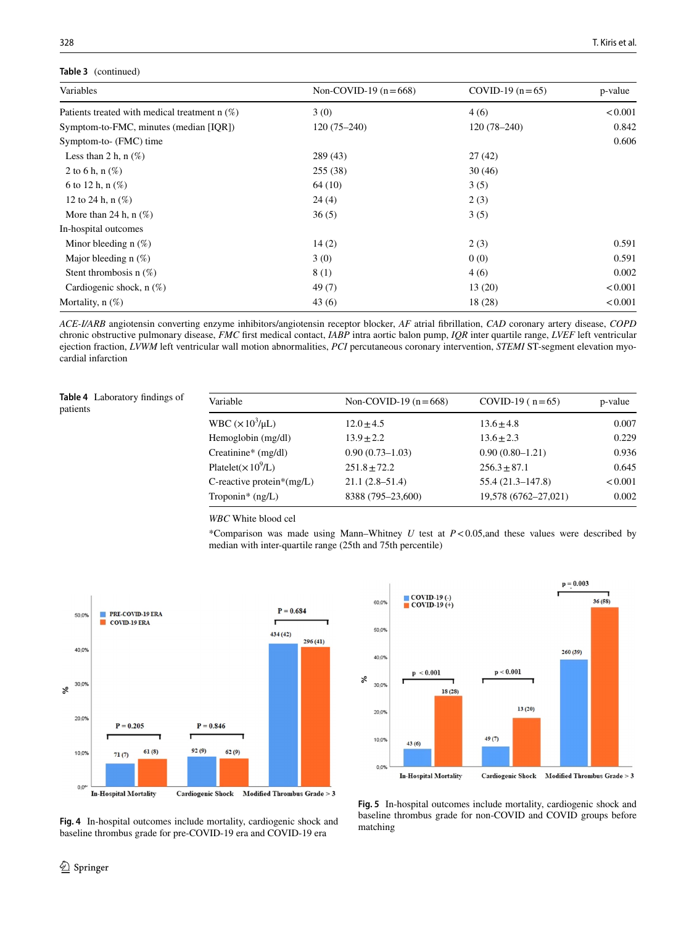#### **Table 3** (continued)

| Variables                                       | Non-COVID-19 $(n=668)$ | COVID-19 $(n=65)$ | p-value |
|-------------------------------------------------|------------------------|-------------------|---------|
| Patients treated with medical treatment $n(\%)$ | 3(0)                   | 4(6)              | < 0.001 |
| Symptom-to-FMC, minutes (median [IQR])          | $120(75-240)$          | $120(78-240)$     | 0.842   |
| Symptom-to- (FMC) time                          |                        |                   | 0.606   |
| Less than 2 h, $n$ (%)                          | 289 (43)               | 27(42)            |         |
| 2 to 6 h, n $(\%)$                              | 255(38)                | 30(46)            |         |
| 6 to 12 h, $n$ (%)                              | 64(10)                 | 3(5)              |         |
| 12 to 24 h, $n$ $(\%)$                          | 24(4)                  | 2(3)              |         |
| More than 24 h, $n$ (%)                         | 36(5)                  | 3(5)              |         |
| In-hospital outcomes                            |                        |                   |         |
| Minor bleeding $n$ (%)                          | 14(2)                  | 2(3)              | 0.591   |
| Major bleeding $n(\%)$                          | 3(0)                   | 0(0)              | 0.591   |
| Stent thrombosis $n(\%)$                        | 8(1)                   | 4(6)              | 0.002   |
| Cardiogenic shock, $n(\%)$                      | 49(7)                  | 13(20)            | < 0.001 |
| Mortality, $n$ $(\%)$                           | 43(6)                  | 18 (28)           | < 0.001 |

*ACE-I/ARB* angiotensin converting enzyme inhibitors/angiotensin receptor blocker, *AF* atrial fbrillation, *CAD* coronary artery disease, *COPD* chronic obstructive pulmonary disease, *FMC* frst medical contact, *IABP* intra aortic balon pump, *IQR* inter quartile range, *LVEF* left ventricular ejection fraction, *LVWM* left ventricular wall motion abnormalities, *PCI* percutaneous coronary intervention, *STEMI* ST-segment elevation myocardial infarction

<span id="page-7-0"></span>**Table 4** Laboratory fndings of patients

| WBC $(\times 10^3/\mu L)$<br>$12.0 \pm 4.5$<br>$13.6 \pm 4.8$<br>Hemoglobin (mg/dl)<br>$13.9 + 2.2$<br>$13.6 + 2.3$ | p-value |
|---------------------------------------------------------------------------------------------------------------------|---------|
|                                                                                                                     | 0.007   |
|                                                                                                                     | 0.229   |
| $0.90(0.73 - 1.03)$<br>Creatinine* (mg/dl)<br>$0.90(0.80-1.21)$                                                     | 0.936   |
| Platelet( $\times 10^9$ /L)<br>$251.8 \pm 72.2$<br>$256.3 \pm 87.1$                                                 | 0.645   |
| $55.4(21.3 - 147.8)$<br>$21.1(2.8-51.4)$<br>C-reactive protein* $(mg/L)$                                            | < 0.001 |
| 19,578 (6762-27,021)<br>8388 (795-23,600)<br>Troponin <sup>*</sup> $(ng/L)$                                         | 0.002   |

*WBC* White blood cel

\*Comparison was made using Mann–Whitney *U* test at *P*<0.05,and these values were described by median with inter-quartile range (25th and 75th percentile)





<span id="page-7-1"></span>Fig. 4 In-hospital outcomes include mortality, cardiogenic shock and baseline thrombus grade for pre-COVID-19 era and COVID-19 era

<span id="page-7-2"></span>**Fig. 5** In-hospital outcomes include mortality, cardiogenic shock and baseline thrombus grade for non-COVID and COVID groups before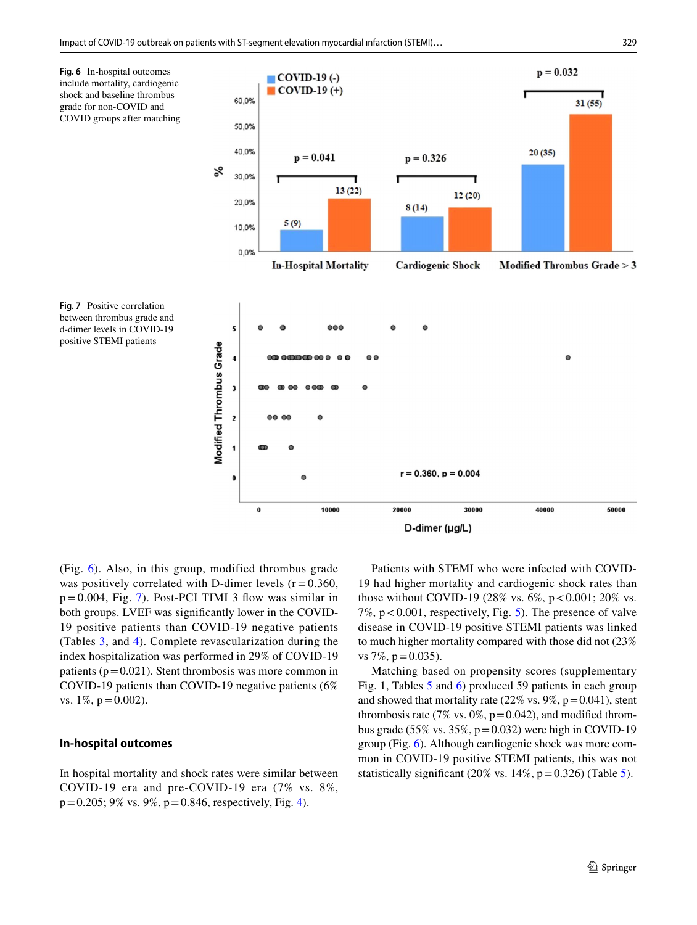<span id="page-8-1"></span><span id="page-8-0"></span>

(Fig. [6\)](#page-8-0). Also, in this group, modified thrombus grade was positively correlated with D-dimer levels  $(r = 0.360,$  $p = 0.004$ , Fig. [7\)](#page-8-1). Post-PCI TIMI 3 flow was similar in both groups. LVEF was signifcantly lower in the COVID-19 positive patients than COVID-19 negative patients (Tables [3](#page-6-0), and [4](#page-7-0)). Complete revascularization during the index hospitalization was performed in 29% of COVID-19 patients ( $p=0.021$ ). Stent thrombosis was more common in COVID-19 patients than COVID-19 negative patients (6% vs.  $1\%$ ,  $p = 0.002$ ).

#### **In‑hospital outcomes**

In hospital mortality and shock rates were similar between COVID-19 era and pre-COVID-19 era (7% vs. 8%,  $p=0.205$ ; 9% vs. 9%,  $p=0.846$ , respectively, Fig. [4\)](#page-7-1).

Patients with STEMI who were infected with COVID-19 had higher mortality and cardiogenic shock rates than those without COVID-19 (28% vs.  $6\%$ ,  $p < 0.001$ ; 20% vs. 7%,  $p < 0.001$ , respectively, Fig. [5](#page-7-2)). The presence of valve disease in COVID-19 positive STEMI patients was linked to much higher mortality compared with those did not (23% vs 7\%,  $p = 0.035$ ).

Matching based on propensity scores (supplementary Fig. 1, Tables [5](#page-9-0) and [6](#page-10-0)) produced 59 patients in each group and showed that mortality rate  $(22\% \text{ vs. } 9\%, \text{ p} = 0.041)$ , stent thrombosis rate (7% vs.  $0\%$ , p=0.042), and modified thrombus grade (55% vs. 35%,  $p=0.032$ ) were high in COVID-19 group (Fig. [6\)](#page-8-0). Although cardiogenic shock was more common in COVID-19 positive STEMI patients, this was not statistically significant (20% vs.  $14\%$ , p=0.326) (Table [5\)](#page-9-0).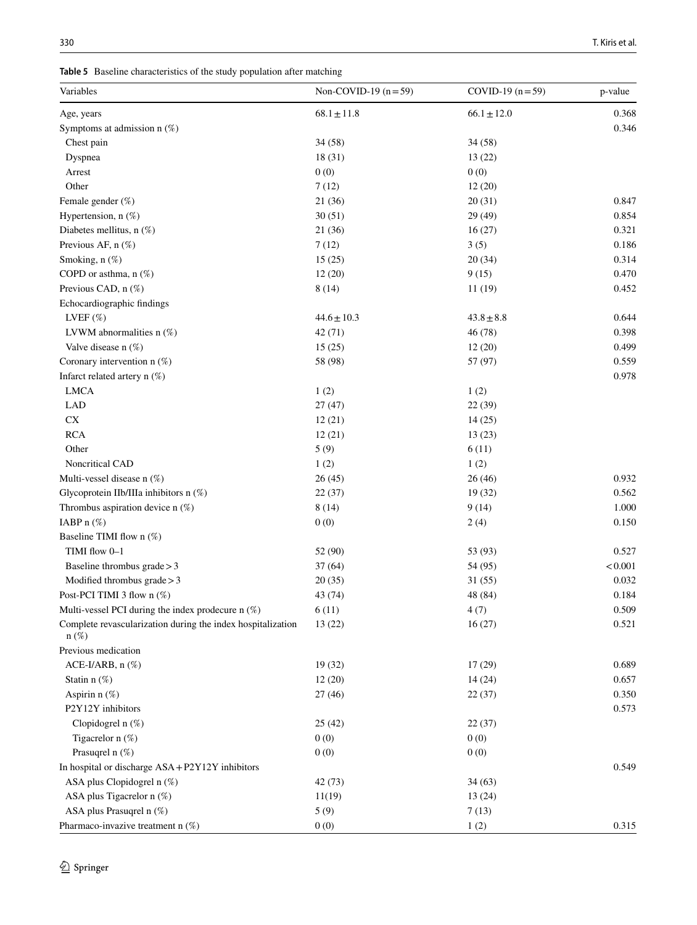<span id="page-9-0"></span>**Table 5** Baseline characteristics of the study population after matching

| Variables                                                   | Non-COVID-19 $(n=59)$ | COVID-19 $(n=59)$ | p-value |
|-------------------------------------------------------------|-----------------------|-------------------|---------|
| Age, years                                                  | $68.1 \pm 11.8$       | $66.1 \pm 12.0$   | 0.368   |
| Symptoms at admission $n$ (%)                               |                       |                   | 0.346   |
| Chest pain                                                  | 34 (58)               | 34(58)            |         |
| Dyspnea                                                     | 18(31)                | 13(22)            |         |
| Arrest                                                      | 0(0)                  | 0(0)              |         |
| Other                                                       | 7(12)                 | 12(20)            |         |
| Female gender (%)                                           | 21(36)                | 20(31)            | 0.847   |
| Hypertension, $n$ $(\%)$                                    | 30(51)                | 29 (49)           | 0.854   |
| Diabetes mellitus, n (%)                                    | 21(36)                | 16(27)            | 0.321   |
| Previous AF, n (%)                                          | 7(12)                 | 3(5)              | 0.186   |
| Smoking, n (%)                                              | 15(25)                | 20(34)            | 0.314   |
| COPD or asthma, $n$ (%)                                     | 12(20)                | 9(15)             | 0.470   |
| Previous CAD, n (%)                                         | 8(14)                 | 11(19)            | 0.452   |
| Echocardiographic findings                                  |                       |                   |         |
| LVEF $(\%)$                                                 | $44.6 \pm 10.3$       | $43.8 \pm 8.8$    | 0.644   |
| LVWM abnormalities $n$ (%)                                  | 42(71)                | 46 (78)           | 0.398   |
| Valve disease $n$ (%)                                       | 15(25)                | 12(20)            | 0.499   |
| Coronary intervention n (%)                                 | 58 (98)               | 57 (97)           | 0.559   |
| Infarct related artery $n$ (%)                              |                       |                   | 0.978   |
| <b>LMCA</b>                                                 | 1(2)                  | 1(2)              |         |
| LAD                                                         | 27(47)                | 22 (39)           |         |
| CX                                                          | 12(21)                | 14(25)            |         |
| <b>RCA</b>                                                  | 12(21)                | 13(23)            |         |
| Other                                                       | 5(9)                  | 6(11)             |         |
| Noncritical CAD                                             | 1(2)                  | 1(2)              |         |
| Multi-vessel disease n (%)                                  | 26(45)                | 26(46)            | 0.932   |
| Glycoprotein IIb/IIIa inhibitors n (%)                      | 22(37)                | 19(32)            | 0.562   |
| Thrombus aspiration device $n$ (%)                          | 8(14)                 | 9(14)             | 1.000   |
| IABP $n$ $(\%)$                                             | 0(0)                  | 2(4)              | 0.150   |
| Baseline TIMI flow n (%)                                    |                       |                   |         |
| TIMI flow 0-1                                               | 52 (90)               | 53 (93)           | 0.527   |
| Baseline thrombus $grade > 3$                               | 37(64)                | 54 (95)           | < 0.001 |
| Modified thrombus grade $>$ 3                               | 20(35)                | 31(55)            | 0.032   |
| Post-PCI TIMI 3 flow n (%)                                  | 43 (74)               | 48 (84)           | 0.184   |
| Multi-vessel PCI during the index prodecure n (%)           | 6(11)                 | 4(7)              | 0.509   |
| Complete revascularization during the index hospitalization | 13(22)                | 16(27)            | 0.521   |
| $n(\%)$                                                     |                       |                   |         |
| Previous medication                                         |                       |                   |         |
| ACE-I/ARB, $n$ $(\%)$                                       | 19(32)                | 17(29)            | 0.689   |
| Statin $n$ $(\%)$                                           | 12(20)                | 14(24)            | 0.657   |
| Aspirin $n$ $(\%)$                                          | 27(46)                | 22(37)            | 0.350   |
| P2Y12Y inhibitors                                           |                       |                   | 0.573   |
| Clopidogrel n (%)                                           | 25(42)                | 22(37)            |         |
| Tigacrelor n (%)                                            | 0(0)                  | 0(0)              |         |
| Prasuqrel n (%)                                             | 0(0)                  | 0(0)              |         |
| In hospital or discharge ASA + P2Y12Y inhibitors            |                       |                   | 0.549   |
| ASA plus Clopidogrel n (%)                                  | 42 (73)               | 34(63)            |         |
| ASA plus Tigacrelor n (%)                                   | 11(19)                | 13(24)            |         |
| ASA plus Prasuqrel n (%)                                    | 5(9)                  | 7(13)             |         |
| Pharmaco-invazive treatment n (%)                           | 0(0)                  | 1(2)              | 0.315   |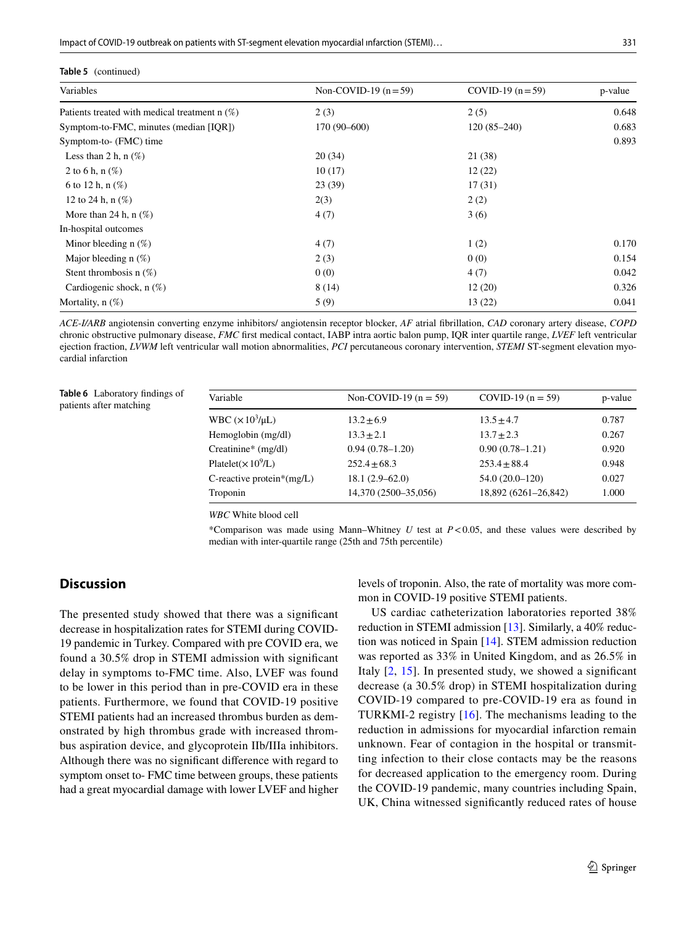Impact of COVID-19 outbreak on patients with ST-segment elevation myocardial infarction (STEMI)...

| <b>Table 5</b> (continued)                      |                       |                   |         |  |
|-------------------------------------------------|-----------------------|-------------------|---------|--|
| Variables                                       | Non-COVID-19 $(n=59)$ | COVID-19 $(n=59)$ | p-value |  |
| Patients treated with medical treatment $n$ (%) | 2(3)                  | 2(5)              | 0.648   |  |
| Symptom-to-FMC, minutes (median [IQR])          | 170 (90-600)          | $120(85-240)$     | 0.683   |  |
| Symptom-to- (FMC) time                          |                       |                   | 0.893   |  |
| Less than 2 h, n $(\%)$                         | 20(34)                | 21 (38)           |         |  |
| 2 to 6 h, $n$ (%)                               | 10(17)                | 12(22)            |         |  |
| 6 to 12 h, $n$ (%)                              | 23(39)                | 17(31)            |         |  |
| 12 to 24 h, $n$ $(\%)$                          | 2(3)                  | 2(2)              |         |  |
| More than 24 h, $n$ (%)                         | 4(7)                  | 3(6)              |         |  |
| In-hospital outcomes                            |                       |                   |         |  |
| Minor bleeding $n$ (%)                          | 4(7)                  | 1(2)              | 0.170   |  |
| Major bleeding $n$ (%)                          | 2(3)                  | 0(0)              | 0.154   |  |
| Stent thrombosis $n(\%)$                        | 0(0)                  | 4(7)              | 0.042   |  |
| Cardiogenic shock, $n(\%)$                      | 8(14)                 | 12(20)            | 0.326   |  |
| Mortality, $n$ $(\%)$                           | 5(9)                  | 13(22)            | 0.041   |  |
|                                                 |                       |                   |         |  |

*ACE-I/ARB* angiotensin converting enzyme inhibitors/ angiotensin receptor blocker, *AF* atrial fbrillation, *CAD* coronary artery disease, *COPD* chronic obstructive pulmonary disease, *FMC* frst medical contact, IABP intra aortic balon pump, IQR inter quartile range, *LVEF* left ventricular ejection fraction, *LVWM* left ventricular wall motion abnormalities, *PCI* percutaneous coronary intervention, *STEMI* ST-segment elevation myocardial infarction

<span id="page-10-0"></span>**Table 6** Laboratory fndings of patients after matching

| Variable                     | Non-COVID-19 $(n = 59)$ | COVID-19 $(n = 59)$  | p-value |
|------------------------------|-------------------------|----------------------|---------|
| WBC $(\times 10^3/\mu L)$    | $13.2 \pm 6.9$          | $13.5 \pm 4.7$       | 0.787   |
| Hemoglobin (mg/dl)           | $13.3 + 2.1$            | $13.7 \pm 2.3$       | 0.267   |
| Creatinine* (mg/dl)          | $0.94(0.78 - 1.20)$     | $0.90(0.78 - 1.21)$  | 0.920   |
| Platelet( $\times 10^9$ /L)  | $252.4+68.3$            | $253.4 + 88.4$       | 0.948   |
| C-reactive protein* $(mg/L)$ | $18.1(2.9 - 62.0)$      | $54.0(20.0-120)$     | 0.027   |
| Troponin                     | 14,370 (2500-35,056)    | 18,892 (6261-26,842) | 1.000   |
|                              |                         |                      |         |

*WBC* White blood cell

\*Comparison was made using Mann–Whitney *U* test at *P*<0.05, and these values were described by median with inter-quartile range (25th and 75th percentile)

### **Discussion**

The presented study showed that there was a signifcant decrease in hospitalization rates for STEMI during COVID-19 pandemic in Turkey. Compared with pre COVID era, we found a 30.5% drop in STEMI admission with signifcant delay in symptoms to-FMC time. Also, LVEF was found to be lower in this period than in pre-COVID era in these patients. Furthermore, we found that COVID-19 positive STEMI patients had an increased thrombus burden as demonstrated by high thrombus grade with increased thrombus aspiration device, and glycoprotein IIb/IIIa inhibitors. Although there was no signifcant diference with regard to symptom onset to- FMC time between groups, these patients had a great myocardial damage with lower LVEF and higher levels of troponin. Also, the rate of mortality was more common in COVID-19 positive STEMI patients.

US cardiac catheterization laboratories reported 38% reduction in STEMI admission [[13\]](#page-12-12). Similarly, a 40% reduction was noticed in Spain [\[14\]](#page-12-13). STEM admission reduction was reported as 33% in United Kingdom, and as 26.5% in Italy [[2,](#page-12-1) [15\]](#page-12-14). In presented study, we showed a signifcant decrease (a 30.5% drop) in STEMI hospitalization during COVID-19 compared to pre-COVID-19 era as found in TURKMI-2 registry [[16](#page-12-15)]. The mechanisms leading to the reduction in admissions for myocardial infarction remain unknown. Fear of contagion in the hospital or transmitting infection to their close contacts may be the reasons for decreased application to the emergency room. During the COVID-19 pandemic, many countries including Spain, UK, China witnessed signifcantly reduced rates of house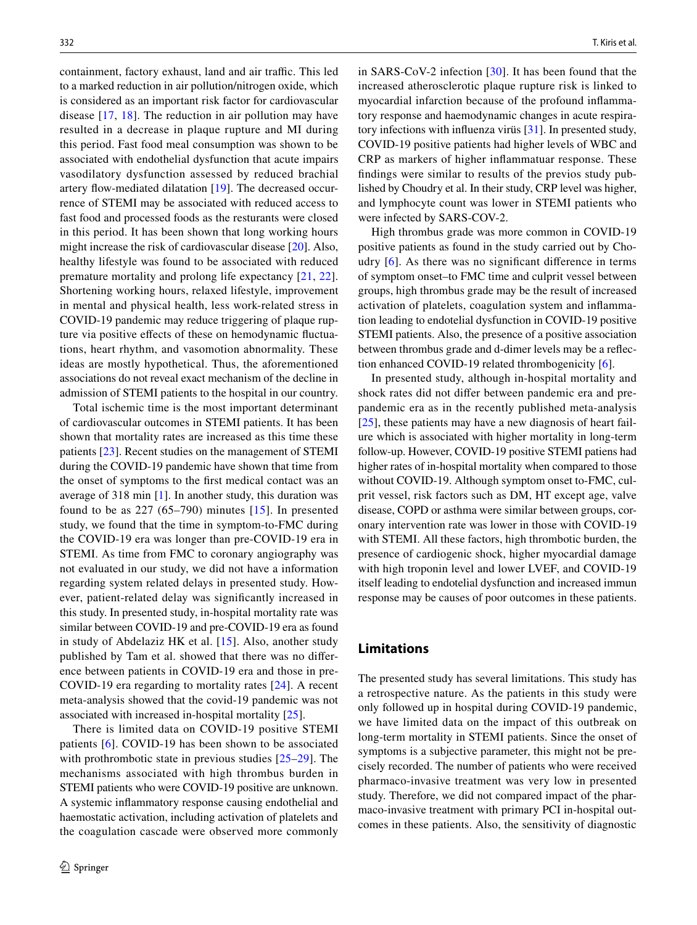containment, factory exhaust, land and air traffic. This led to a marked reduction in air pollution/nitrogen oxide, which is considered as an important risk factor for cardiovascular disease [\[17,](#page-12-16) [18\]](#page-12-17). The reduction in air pollution may have resulted in a decrease in plaque rupture and MI during this period. Fast food meal consumption was shown to be associated with endothelial dysfunction that acute impairs vasodilatory dysfunction assessed by reduced brachial artery flow-mediated dilatation [\[19\]](#page-12-18). The decreased occurrence of STEMI may be associated with reduced access to fast food and processed foods as the resturants were closed in this period. It has been shown that long working hours might increase the risk of cardiovascular disease [[20\]](#page-12-19). Also, healthy lifestyle was found to be associated with reduced premature mortality and prolong life expectancy [\[21](#page-13-0), [22](#page-13-1)]. Shortening working hours, relaxed lifestyle, improvement in mental and physical health, less work-related stress in COVID-19 pandemic may reduce triggering of plaque rupture via positive effects of these on hemodynamic fluctuations, heart rhythm, and vasomotion abnormality. These ideas are mostly hypothetical. Thus, the aforementioned associations do not reveal exact mechanism of the decline in admission of STEMI patients to the hospital in our country.

Total ischemic time is the most important determinant of cardiovascular outcomes in STEMI patients. It has been shown that mortality rates are increased as this time these patients [\[23](#page-13-2)]. Recent studies on the management of STEMI during the COVID-19 pandemic have shown that time from the onset of symptoms to the frst medical contact was an average of 318 min [\[1](#page-12-0)]. In another study, this duration was found to be as  $227(65-790)$  minutes [[15](#page-12-14)]. In presented study, we found that the time in symptom-to-FMC during the COVID-19 era was longer than pre-COVID-19 era in STEMI. As time from FMC to coronary angiography was not evaluated in our study, we did not have a information regarding system related delays in presented study. However, patient-related delay was signifcantly increased in this study. In presented study, in-hospital mortality rate was similar between COVID-19 and pre-COVID-19 era as found in study of Abdelaziz HK et al. [\[15\]](#page-12-14). Also, another study published by Tam et al. showed that there was no diference between patients in COVID-19 era and those in pre-COVID-19 era regarding to mortality rates [[24\]](#page-13-3). A recent meta-analysis showed that the covid-19 pandemic was not associated with increased in-hospital mortality [\[25](#page-13-4)].

There is limited data on COVID-19 positive STEMI patients [[6](#page-12-5)]. COVID-19 has been shown to be associated with prothrombotic state in previous studies [[25](#page-13-4)[–29](#page-13-5)]. The mechanisms associated with high thrombus burden in STEMI patients who were COVID-19 positive are unknown. A systemic infammatory response causing endothelial and haemostatic activation, including activation of platelets and the coagulation cascade were observed more commonly

in SARS-CoV-2 infection [[30](#page-13-6)]. It has been found that the increased atherosclerotic plaque rupture risk is linked to myocardial infarction because of the profound infammatory response and haemodynamic changes in acute respiratory infections with infuenza virüs [\[31](#page-13-7)]. In presented study, COVID-19 positive patients had higher levels of WBC and CRP as markers of higher infammatuar response. These fndings were similar to results of the previos study published by Choudry et al. In their study, CRP level was higher, and lymphocyte count was lower in STEMI patients who were infected by SARS-COV-2.

High thrombus grade was more common in COVID-19 positive patients as found in the study carried out by Choudry  $[6]$  $[6]$  $[6]$ . As there was no significant difference in terms of symptom onset–to FMC time and culprit vessel between groups, high thrombus grade may be the result of increased activation of platelets, coagulation system and infammation leading to endotelial dysfunction in COVID-19 positive STEMI patients. Also, the presence of a positive association between thrombus grade and d-dimer levels may be a refection enhanced COVID-19 related thrombogenicity [[6\]](#page-12-5).

In presented study, although in-hospital mortality and shock rates did not difer between pandemic era and prepandemic era as in the recently published meta-analysis [[25\]](#page-13-4), these patients may have a new diagnosis of heart failure which is associated with higher mortality in long-term follow-up. However, COVID-19 positive STEMI patiens had higher rates of in-hospital mortality when compared to those without COVID-19. Although symptom onset to-FMC, culprit vessel, risk factors such as DM, HT except age, valve disease, COPD or asthma were similar between groups, coronary intervention rate was lower in those with COVID-19 with STEMI. All these factors, high thrombotic burden, the presence of cardiogenic shock, higher myocardial damage with high troponin level and lower LVEF, and COVID-19 itself leading to endotelial dysfunction and increased immun response may be causes of poor outcomes in these patients.

### **Limitations**

The presented study has several limitations. This study has a retrospective nature. As the patients in this study were only followed up in hospital during COVID-19 pandemic, we have limited data on the impact of this outbreak on long-term mortality in STEMI patients. Since the onset of symptoms is a subjective parameter, this might not be precisely recorded. The number of patients who were received pharmaco-invasive treatment was very low in presented study. Therefore, we did not compared impact of the pharmaco-invasive treatment with primary PCI in-hospital outcomes in these patients. Also, the sensitivity of diagnostic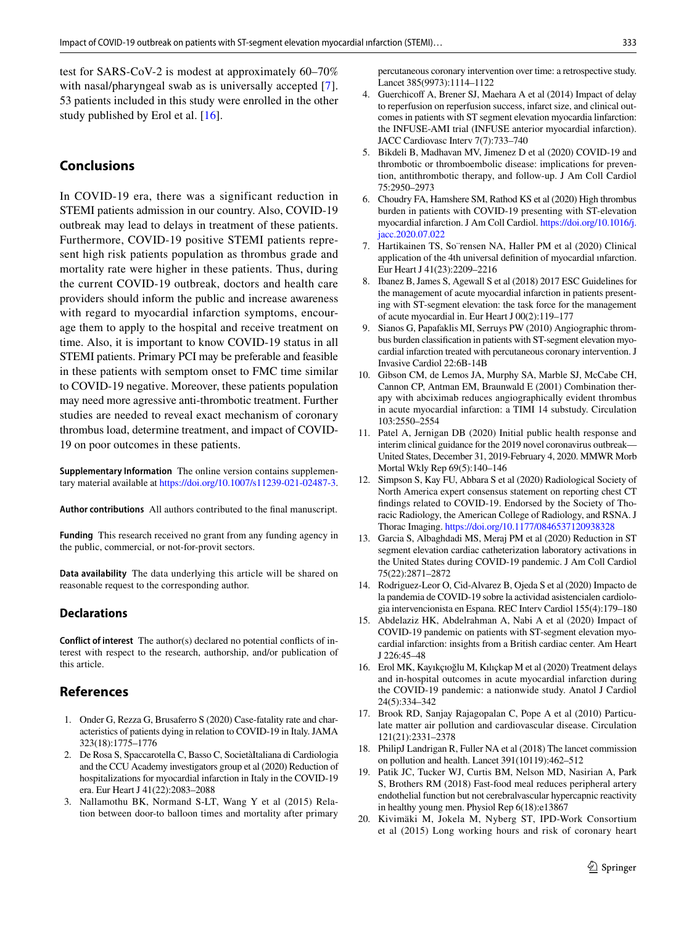test for SARS-CoV-2 is modest at approximately 60–70% with nasal/pharyngeal swab as is universally accepted [[7](#page-12-6)]. 53 patients included in this study were enrolled in the other study published by Erol et al. [\[16\]](#page-12-15).

# **Conclusions**

In COVID-19 era, there was a significant reduction in STEMI patients admission in our country. Also, COVID-19 outbreak may lead to delays in treatment of these patients. Furthermore, COVID-19 positive STEMI patients represent high risk patients population as thrombus grade and mortality rate were higher in these patients. Thus, during the current COVID-19 outbreak, doctors and health care providers should inform the public and increase awareness with regard to myocardial infarction symptoms, encourage them to apply to the hospital and receive treatment on time. Also, it is important to know COVID-19 status in all STEMI patients. Primary PCI may be preferable and feasible in these patients with semptom onset to FMC time similar to COVID-19 negative. Moreover, these patients population may need more agressive anti-thrombotic treatment. Further studies are needed to reveal exact mechanism of coronary thrombus load, determine treatment, and impact of COVID-19 on poor outcomes in these patients.

**Supplementary Information** The online version contains supplementary material available at<https://doi.org/10.1007/s11239-021-02487-3>.

**Author contributions** All authors contributed to the fnal manuscript.

**Funding** This research received no grant from any funding agency in the public, commercial, or not-for-provit sectors.

**Data availability** The data underlying this article will be shared on reasonable request to the corresponding author.

### **Declarations**

**Conflict of interest** The author(s) declared no potential conficts of interest with respect to the research, authorship, and/or publication of this article.

# **References**

- <span id="page-12-0"></span>1. Onder G, Rezza G, Brusaferro S (2020) Case-fatality rate and characteristics of patients dying in relation to COVID-19 in Italy. JAMA 323(18):1775–1776
- <span id="page-12-1"></span>2. De Rosa S, Spaccarotella C, Basso C, SocietàItaliana di Cardiologia and the CCU Academy investigators group et al (2020) Reduction of hospitalizations for myocardial infarction in Italy in the COVID-19 era. Eur Heart J 41(22):2083–2088
- <span id="page-12-2"></span>3. Nallamothu BK, Normand S-LT, Wang Y et al (2015) Relation between door-to balloon times and mortality after primary

percutaneous coronary intervention over time: a retrospective study. Lancet 385(9973):1114–1122

- <span id="page-12-3"></span>4. Guerchicoff A, Brener SJ, Maehara A et al (2014) Impact of delay to reperfusion on reperfusion success, infarct size, and clinical outcomes in patients with ST segment elevation myocardia linfarction: the INFUSE-AMI trial (INFUSE anterior myocardial infarction). JACC Cardiovasc Interv 7(7):733–740
- <span id="page-12-4"></span>5. Bikdeli B, Madhavan MV, Jimenez D et al (2020) COVID-19 and thrombotic or thromboembolic disease: implications for prevention, antithrombotic therapy, and follow-up. J Am Coll Cardiol 75:2950–2973
- <span id="page-12-5"></span>6. Choudry FA, Hamshere SM, Rathod KS et al (2020) High thrombus burden in patients with COVID-19 presenting with ST-elevation myocardial infarction. J Am Coll Cardiol. [https://doi.org/10.1016/j.](https://doi.org/10.1016/j.jacc.2020.07.022) [jacc.2020.07.022](https://doi.org/10.1016/j.jacc.2020.07.022)
- <span id="page-12-6"></span>7. Hartikainen TS, So¨rensen NA, Haller PM et al (2020) Clinical application of the 4th universal defnition of myocardial ınfarction. Eur Heart J 41(23):2209–2216
- <span id="page-12-7"></span>8. Ibanez B, James S, Agewall S et al (2018) 2017 ESC Guidelines for the management of acute myocardial infarction in patients presenting with ST-segment elevation: the task force for the management of acute myocardial in. Eur Heart J 00(2):119–177
- <span id="page-12-8"></span>Sianos G, Papafaklis MI, Serruys PW (2010) Angiographic thrombus burden classifcation in patients with ST-segment elevation myocardial infarction treated with percutaneous coronary intervention. J Invasive Cardiol 22:6B-14B
- <span id="page-12-9"></span>10. Gibson CM, de Lemos JA, Murphy SA, Marble SJ, McCabe CH, Cannon CP, Antman EM, Braunwald E (2001) Combination therapy with abciximab reduces angiographically evident thrombus in acute myocardial infarction: a TIMI 14 substudy. Circulation 103:2550–2554
- <span id="page-12-10"></span>11. Patel A, Jernigan DB (2020) Initial public health response and interim clinical guidance for the 2019 novel coronavirus outbreak— United States, December 31, 2019-February 4, 2020. MMWR Morb Mortal Wkly Rep 69(5):140–146
- <span id="page-12-11"></span>12. Simpson S, Kay FU, Abbara S et al (2020) Radiological Society of North America expert consensus statement on reporting chest CT fndings related to COVID-19. Endorsed by the Society of Thoracic Radiology, the American College of Radiology, and RSNA. J Thorac Imaging.<https://doi.org/10.1177/0846537120938328>
- <span id="page-12-12"></span>13. Garcia S, Albaghdadi MS, Meraj PM et al (2020) Reduction in ST segment elevation cardiac catheterization laboratory activations in the United States during COVID-19 pandemic. J Am Coll Cardiol 75(22):2871–2872
- <span id="page-12-13"></span>14. Rodriguez-Leor O, Cid-Alvarez B, Ojeda S et al (2020) Impacto de la pandemia de COVID-19 sobre la actividad asistencialen cardiologia intervencionista en Espana. REC Interv Cardiol 155(4):179–180
- <span id="page-12-14"></span>15. Abdelaziz HK, Abdelrahman A, Nabi A et al (2020) Impact of COVID-19 pandemic on patients with ST-segment elevation myocardial infarction: insights from a British cardiac center. Am Heart J 226:45–48
- <span id="page-12-15"></span>16. Erol MK, Kayıkçıoğlu M, Kılıçkap M et al (2020) Treatment delays and in-hospital outcomes in acute myocardial infarction during the COVID-19 pandemic: a nationwide study. Anatol J Cardiol 24(5):334–342
- <span id="page-12-16"></span>17. Brook RD, Sanjay Rajagopalan C, Pope A et al (2010) Particulate matter air pollution and cardiovascular disease. Circulation 121(21):2331–2378
- <span id="page-12-17"></span>18. PhilipJ Landrigan R, Fuller NA et al (2018) The lancet commission on pollution and health. Lancet 391(10119):462–512
- <span id="page-12-18"></span>19. Patik JC, Tucker WJ, Curtis BM, Nelson MD, Nasirian A, Park S, Brothers RM (2018) Fast-food meal reduces peripheral artery endothelial function but not cerebralvascular hypercapnic reactivity in healthy young men. Physiol Rep 6(18):e13867
- <span id="page-12-19"></span>20. Kivimäki M, Jokela M, Nyberg ST, IPD-Work Consortium et al (2015) Long working hours and risk of coronary heart